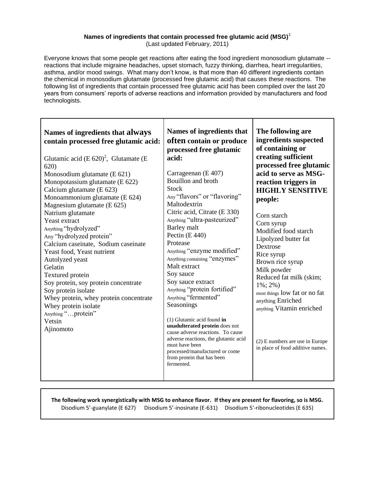## **Names of ingredients that contain processed free glutamic acid (MSG)**<sup>1</sup>

(Last updated February, 2011)

Everyone knows that some people get reactions after eating the food ingredient monosodium glutamate - reactions that include migraine headaches, upset stomach, fuzzy thinking, diarrhea, heart irregularities, asthma, and/or mood swings. What many don't know, is that more than 40 different ingredients contain the chemical in monosodium glutamate (processed free glutamic acid) that causes these reactions. The following list of ingredients that contain processed free glutamic acid has been compiled over the last 20 years from consumers' reports of adverse reactions and information provided by manufacturers and food technologists.

| Names of ingredients that always<br>contain processed free glutamic acid:<br>Glutamic acid (E $620$ <sup>2</sup> , Glutamate (E<br>620)<br>Monosodium glutamate (E 621)<br>Monopotassium glutamate (E 622)<br>Calcium glutamate (E 623)<br>Monoammonium glutamate (E 624)<br>Magnesium glutamate (E 625)<br>Natrium glutamate<br>Yeast extract<br>Anything "hydrolyzed"<br>Any "hydrolyzed protein"<br>Calcium caseinate, Sodium caseinate<br>Yeast food, Yeast nutrient<br>Autolyzed yeast<br>Gelatin<br>Textured protein<br>Soy protein, soy protein concentrate<br>Soy protein isolate<br>Whey protein, whey protein concentrate<br>Whey protein isolate<br>Anything "protein"<br>Vetsin<br>Ajinomoto | Names of ingredients that<br>often contain or produce<br>processed free glutamic<br>acid:<br>Carrageenan (E 407)<br>Bouillon and broth<br><b>Stock</b><br>Any "flavors" or "flavoring"<br>Maltodextrin<br>Citric acid, Citrate (E 330)<br>Anything "ultra-pasteurized"<br>Barley malt<br>Pectin $(E 440)$<br>Protease<br>Anything "enzyme modified"<br>Anything containing "enzymes"<br>Malt extract<br>Soy sauce<br>Soy sauce extract<br>Anything "protein fortified"<br>Anything "fermented"<br>Seasonings<br>$(1)$ Glutamic acid found in<br>unadulterated protein does not<br>cause adverse reactions. To cause<br>adverse reactions, the glutamic acid<br>must have been<br>processed/manufactured or come<br>from protein that has been<br>fermented. | The following are<br>ingredients suspected<br>of containing or<br>creating sufficient<br>processed free glutamic<br>acid to serve as MSG-<br>reaction triggers in<br><b>HIGHLY SENSITIVE</b><br>people:<br>Corn starch<br>Corn syrup<br>Modified food starch<br>Lipolyzed butter fat<br>Dextrose<br>Rice syrup<br>Brown rice syrup<br>Milk powder<br>Reduced fat milk (skim;<br>$1\%$ ; 2%)<br>most things low fat or no fat<br>anything Enriched<br>anything Vitamin enriched<br>$(2)$ E numbers are use in Europe<br>in place of food additive names. |
|----------------------------------------------------------------------------------------------------------------------------------------------------------------------------------------------------------------------------------------------------------------------------------------------------------------------------------------------------------------------------------------------------------------------------------------------------------------------------------------------------------------------------------------------------------------------------------------------------------------------------------------------------------------------------------------------------------|-------------------------------------------------------------------------------------------------------------------------------------------------------------------------------------------------------------------------------------------------------------------------------------------------------------------------------------------------------------------------------------------------------------------------------------------------------------------------------------------------------------------------------------------------------------------------------------------------------------------------------------------------------------------------------------------------------------------------------------------------------------|---------------------------------------------------------------------------------------------------------------------------------------------------------------------------------------------------------------------------------------------------------------------------------------------------------------------------------------------------------------------------------------------------------------------------------------------------------------------------------------------------------------------------------------------------------|
|----------------------------------------------------------------------------------------------------------------------------------------------------------------------------------------------------------------------------------------------------------------------------------------------------------------------------------------------------------------------------------------------------------------------------------------------------------------------------------------------------------------------------------------------------------------------------------------------------------------------------------------------------------------------------------------------------------|-------------------------------------------------------------------------------------------------------------------------------------------------------------------------------------------------------------------------------------------------------------------------------------------------------------------------------------------------------------------------------------------------------------------------------------------------------------------------------------------------------------------------------------------------------------------------------------------------------------------------------------------------------------------------------------------------------------------------------------------------------------|---------------------------------------------------------------------------------------------------------------------------------------------------------------------------------------------------------------------------------------------------------------------------------------------------------------------------------------------------------------------------------------------------------------------------------------------------------------------------------------------------------------------------------------------------------|

## **The following work synergistically with MSG to enhance flavor. If they are present for flavoring, so is MSG.** Disodium 5'-guanylate (E 627) Disodium 5'-inosinate (E-631) Disodium 5'-ribonucleotides (E 635)